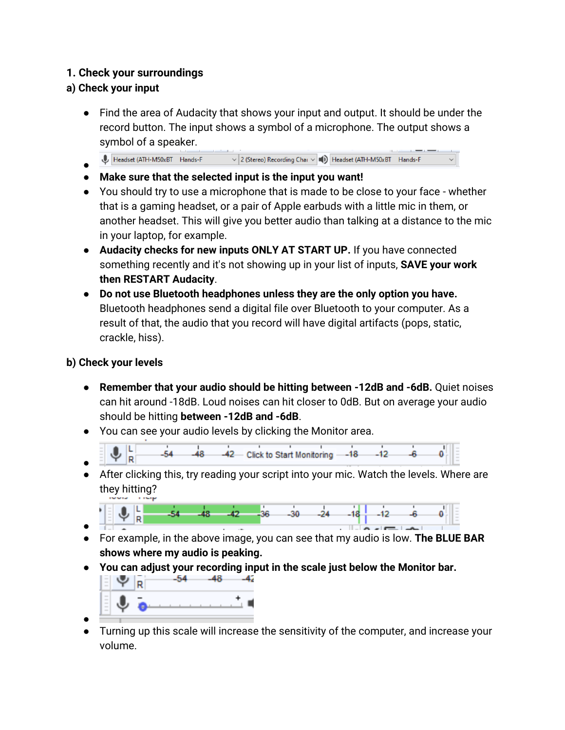## **1. Check your surroundings**

# **a) Check your input**

- Find the area of Audacity that shows your input and output. It should be under the record button. The input shows a symbol of a microphone. The output shows a symbol of a speaker.
- Headset (ATH-M50xBT Hands-F  $\sim$  2 (Stereo) Recording Chai  $\sim$  (1) Headset (ATH-M50xBT Hands-F ●
- **Make sure that the selected input is the input you want!**
- You should try to use a microphone that is made to be close to your face whether that is a gaming headset, or a pair of Apple earbuds with a little mic in them, or another headset. This will give you better audio than talking at a distance to the mic in your laptop, for example.
- **Audacity checks for new inputs ONLY AT START UP.** If you have connected something recently and it's not showing up in your list of inputs, **SAVE your work then RESTART Audacity**.
- **Do not use Bluetooth headphones unless they are the only option you have.** Bluetooth headphones send a digital file over Bluetooth to your computer. As a result of that, the audio that you record will have digital artifacts (pops, static, crackle, hiss).

# **b) Check your levels**

- **Remember that your audio should be hitting between -12dB and -6dB.** Quiet noises can hit around -18dB. Loud noises can hit closer to 0dB. But on average your audio should be hitting **between -12dB and -6dB**.
- You can see your audio levels by clicking the Monitor area.
- 42 Click to Start Monitoring -- 18 -12 R ●
- After clicking this, try reading your script into your mic. Watch the levels. Where are they hitting?



- For example, in the above image, you can see that my audio is low. **The BLUE BAR shows where my audio is peaking.**
- **You can adjust your recording input in the scale just below the Monitor bar.**



● Turning up this scale will increase the sensitivity of the computer, and increase your volume.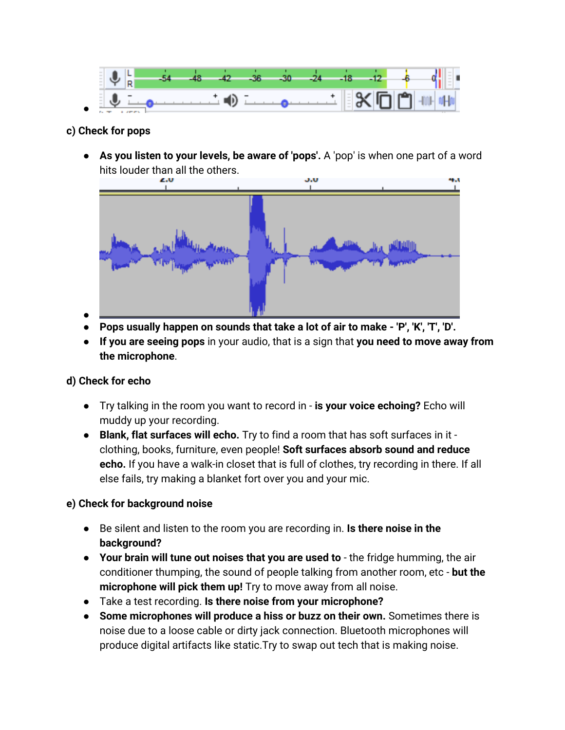

#### **c) Check for pops**

● **As you listen to your levels, be aware of 'pops'.** A 'pop' is when one part of a word hits louder than all the others.



- ● **Pops usually happen on sounds that take a lot of air to make - 'P', 'K', 'T', 'D'.**
- **If you are seeing pops** in your audio, that is a sign that **you need to move away from the microphone**.

#### **d) Check for echo**

- Try talking in the room you want to record in **is your voice echoing?** Echo will muddy up your recording.
- **Blank, flat surfaces will echo.** Try to find a room that has soft surfaces in it clothing, books, furniture, even people! **Soft surfaces absorb sound and reduce echo.** If you have a walk-in closet that is full of clothes, try recording in there. If all else fails, try making a blanket fort over you and your mic.

#### **e) Check for background noise**

- Be silent and listen to the room you are recording in. **Is there noise in the background?**
- **Your brain will tune out noises that you are used to** the fridge humming, the air conditioner thumping, the sound of people talking from another room, etc - **but the microphone will pick them up!** Try to move away from all noise.
- Take a test recording. **Is there noise from your microphone?**
- **Some microphones will produce a hiss or buzz on their own.** Sometimes there is noise due to a loose cable or dirty jack connection. Bluetooth microphones will produce digital artifacts like static.Try to swap out tech that is making noise.